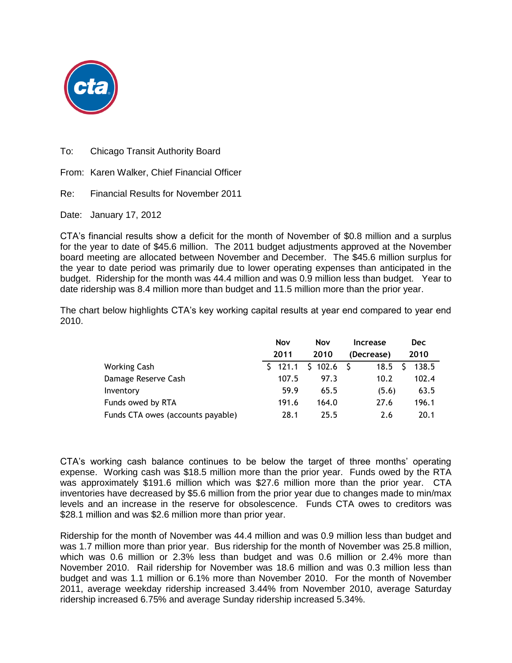

To: Chicago Transit Authority Board

From: Karen Walker, Chief Financial Officer

Re: Financial Results for November 2011

Date: January 17, 2012

CTA's financial results show a deficit for the month of November of \$0.8 million and a surplus for the year to date of \$45.6 million. The 2011 budget adjustments approved at the November board meeting are allocated between November and December. The \$45.6 million surplus for the year to date period was primarily due to lower operating expenses than anticipated in the budget. Ridership for the month was 44.4 million and was 0.9 million less than budget. Year to date ridership was 8.4 million more than budget and 11.5 million more than the prior year.

The chart below highlights CTA's key working capital results at year end compared to year end 2010.

|                                   | <b>Nov</b> | Nov       | Increase   | <b>Dec</b> |
|-----------------------------------|------------|-----------|------------|------------|
|                                   | 2011       | 2010      | (Decrease) | 2010       |
| <b>Working Cash</b>               | 121.1      | \$102.6\$ | 18.5       | 138.5      |
| Damage Reserve Cash               | 107.5      | 97.3      | 10.2       | 102.4      |
| Inventory                         | 59.9       | 65.5      | (5.6)      | 63.5       |
| Funds owed by RTA                 | 191.6      | 164.0     | 27.6       | 196.1      |
| Funds CTA owes (accounts payable) | 28.1       | 25.5      | 2.6        | 20.1       |

CTA's working cash balance continues to be below the target of three months' operating expense. Working cash was \$18.5 million more than the prior year. Funds owed by the RTA was approximately \$191.6 million which was \$27.6 million more than the prior year. CTA inventories have decreased by \$5.6 million from the prior year due to changes made to min/max levels and an increase in the reserve for obsolescence. Funds CTA owes to creditors was \$28.1 million and was \$2.6 million more than prior year.

Ridership for the month of November was 44.4 million and was 0.9 million less than budget and was 1.7 million more than prior year. Bus ridership for the month of November was 25.8 million, which was 0.6 million or 2.3% less than budget and was 0.6 million or 2.4% more than November 2010. Rail ridership for November was 18.6 million and was 0.3 million less than budget and was 1.1 million or 6.1% more than November 2010. For the month of November 2011, average weekday ridership increased 3.44% from November 2010, average Saturday ridership increased 6.75% and average Sunday ridership increased 5.34%.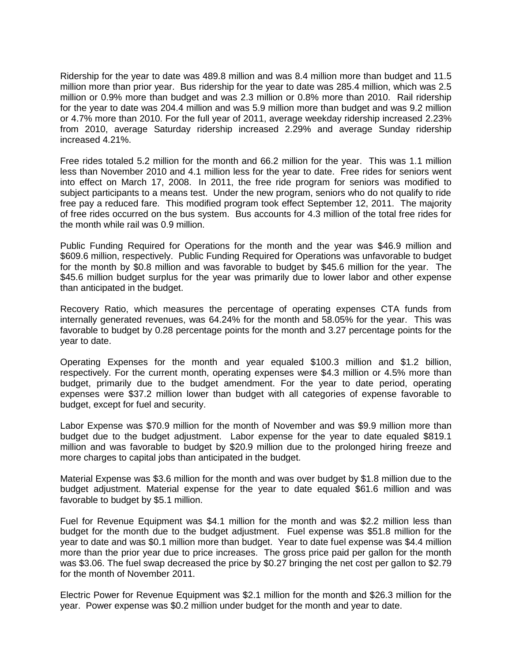Ridership for the year to date was 489.8 million and was 8.4 million more than budget and 11.5 million more than prior year. Bus ridership for the year to date was 285.4 million, which was 2.5 million or 0.9% more than budget and was 2.3 million or 0.8% more than 2010. Rail ridership for the year to date was 204.4 million and was 5.9 million more than budget and was 9.2 million or 4.7% more than 2010. For the full year of 2011, average weekday ridership increased 2.23% from 2010, average Saturday ridership increased 2.29% and average Sunday ridership increased 4.21%.

Free rides totaled 5.2 million for the month and 66.2 million for the year. This was 1.1 million less than November 2010 and 4.1 million less for the year to date. Free rides for seniors went into effect on March 17, 2008. In 2011, the free ride program for seniors was modified to subject participants to a means test. Under the new program, seniors who do not qualify to ride free pay a reduced fare. This modified program took effect September 12, 2011. The majority of free rides occurred on the bus system. Bus accounts for 4.3 million of the total free rides for the month while rail was 0.9 million.

Public Funding Required for Operations for the month and the year was \$46.9 million and \$609.6 million, respectively. Public Funding Required for Operations was unfavorable to budget for the month by \$0.8 million and was favorable to budget by \$45.6 million for the year. The \$45.6 million budget surplus for the year was primarily due to lower labor and other expense than anticipated in the budget.

Recovery Ratio, which measures the percentage of operating expenses CTA funds from internally generated revenues, was 64.24% for the month and 58.05% for the year. This was favorable to budget by 0.28 percentage points for the month and 3.27 percentage points for the year to date.

Operating Expenses for the month and year equaled \$100.3 million and \$1.2 billion, respectively. For the current month, operating expenses were \$4.3 million or 4.5% more than budget, primarily due to the budget amendment. For the year to date period, operating expenses were \$37.2 million lower than budget with all categories of expense favorable to budget, except for fuel and security.

Labor Expense was \$70.9 million for the month of November and was \$9.9 million more than budget due to the budget adjustment. Labor expense for the year to date equaled \$819.1 million and was favorable to budget by \$20.9 million due to the prolonged hiring freeze and more charges to capital jobs than anticipated in the budget.

Material Expense was \$3.6 million for the month and was over budget by \$1.8 million due to the budget adjustment. Material expense for the year to date equaled \$61.6 million and was favorable to budget by \$5.1 million.

Fuel for Revenue Equipment was \$4.1 million for the month and was \$2.2 million less than budget for the month due to the budget adjustment. Fuel expense was \$51.8 million for the year to date and was \$0.1 million more than budget. Year to date fuel expense was \$4.4 million more than the prior year due to price increases. The gross price paid per gallon for the month was \$3.06. The fuel swap decreased the price by \$0.27 bringing the net cost per gallon to \$2.79 for the month of November 2011.

Electric Power for Revenue Equipment was \$2.1 million for the month and \$26.3 million for the year. Power expense was \$0.2 million under budget for the month and year to date.